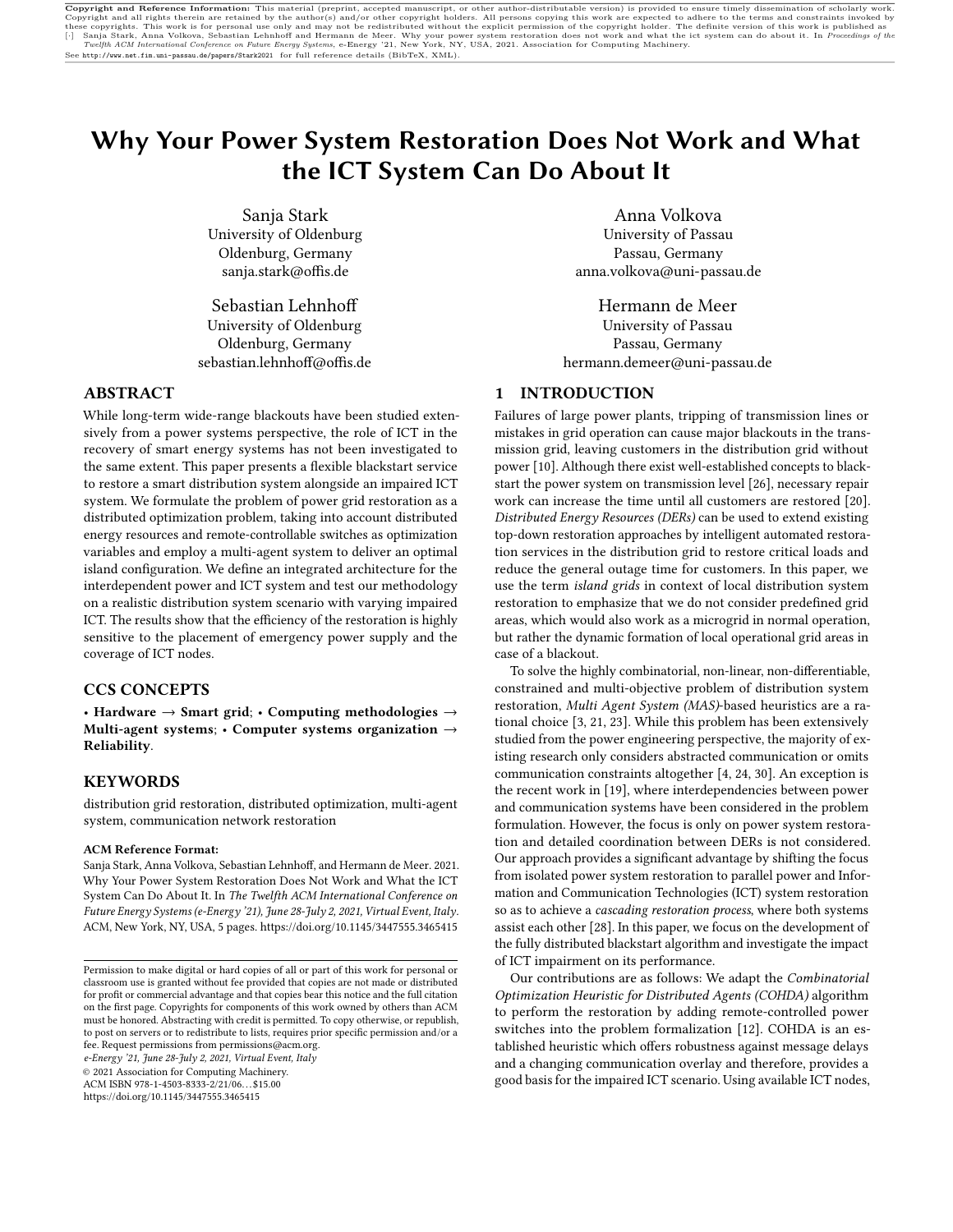# Why Your Power System Restoration Does Not Work and What the ICT System Can Do About It

Sanja Stark University of Oldenburg Oldenburg, Germany sanja.stark@offis.de

[Sebastian Lehnhoff](https://orcid.org/0000-0003-2340-6807) University of Oldenburg Oldenburg, Germany sebastian.lehnhoff@offis.de

# ABSTRACT

While long-term wide-range blackouts have been studied extensively from a power systems perspective, the role of ICT in the recovery of smart energy systems has not been investigated to the same extent. This paper presents a flexible blackstart service to restore a smart distribution system alongside an impaired ICT system. We formulate the problem of power grid restoration as a distributed optimization problem, taking into account distributed energy resources and remote-controllable switches as optimization variables and employ a multi-agent system to deliver an optimal island configuration. We define an integrated architecture for the interdependent power and ICT system and test our methodology on a realistic distribution system scenario with varying impaired ICT. The results show that the efficiency of the restoration is highly sensitive to the placement of emergency power supply and the coverage of ICT nodes.

#### CCS CONCEPTS

• Hardware  $\rightarrow$  Smart grid; • Computing methodologies  $\rightarrow$ Multi-agent systems; • Computer systems organization  $\rightarrow$ Reliability.

# KEYWORDS

distribution grid restoration, distributed optimization, multi-agent system, communication network restoration

#### ACM Reference Format:

Sanja Stark, Anna Volkova, Sebastian Lehnhoff, and Hermann de Meer. 2021. Why Your Power System Restoration Does Not Work and What the ICT System Can Do About It. In The Twelfth ACM International Conference on Future Energy Systems (e-Energy '21), June 28-July 2, 2021, Virtual Event, Italy. ACM, New York, NY, USA, [5](#page-4-0) pages.<https://doi.org/10.1145/3447555.3465415>

e-Energy '21, June 28-July 2, 2021, Virtual Event, Italy

© 2021 Association for Computing Machinery.

ACM ISBN 978-1-4503-8333-2/21/06. . . \$15.00

<https://doi.org/10.1145/3447555.3465415>

[Anna Volkova](https://orcid.org/0000-0001-9198-265X) University of Passau Passau, Germany anna.volkova@uni-passau.de

[Hermann de Meer](https://orcid.org/0000-0002-3466-8135) University of Passau Passau, Germany hermann.demeer@uni-passau.de

# 1 INTRODUCTION

Failures of large power plants, tripping of transmission lines or mistakes in grid operation can cause major blackouts in the transmission grid, leaving customers in the distribution grid without power [\[10\]](#page-4-1). Although there exist well-established concepts to blackstart the power system on transmission level [\[26\]](#page-4-2), necessary repair work can increase the time until all customers are restored [\[20\]](#page-4-3). Distributed Energy Resources (DERs) can be used to extend existing top-down restoration approaches by intelligent automated restoration services in the distribution grid to restore critical loads and reduce the general outage time for customers. In this paper, we use the term island grids in context of local distribution system restoration to emphasize that we do not consider predefined grid areas, which would also work as a microgrid in normal operation, but rather the dynamic formation of local operational grid areas in case of a blackout.

To solve the highly combinatorial, non-linear, non-differentiable, constrained and multi-objective problem of distribution system restoration, Multi Agent System (MAS)-based heuristics are a rational choice [\[3,](#page-4-4) [21,](#page-4-5) [23\]](#page-4-6). While this problem has been extensively studied from the power engineering perspective, the majority of existing research only considers abstracted communication or omits communication constraints altogether [\[4,](#page-4-7) [24,](#page-4-8) [30\]](#page-4-9). An exception is the recent work in [\[19\]](#page-4-10), where interdependencies between power and communication systems have been considered in the problem formulation. However, the focus is only on power system restoration and detailed coordination between DERs is not considered. Our approach provides a significant advantage by shifting the focus from isolated power system restoration to parallel power and Information and Communication Technologies (ICT) system restoration so as to achieve a cascading restoration process, where both systems assist each other [\[28\]](#page-4-11). In this paper, we focus on the development of the fully distributed blackstart algorithm and investigate the impact of ICT impairment on its performance.

Our contributions are as follows: We adapt the Combinatorial Optimization Heuristic for Distributed Agents (COHDA) algorithm to perform the restoration by adding remote-controlled power switches into the problem formalization [\[12\]](#page-4-12). COHDA is an established heuristic which offers robustness against message delays and a changing communication overlay and therefore, provides a good basis for the impaired ICT scenario. Using available ICT nodes,

Permission to make digital or hard copies of all or part of this work for personal or classroom use is granted without fee provided that copies are not made or distributed for profit or commercial advantage and that copies bear this notice and the full citation on the first page. Copyrights for components of this work owned by others than ACM must be honored. Abstracting with credit is permitted. To copy otherwise, or republish, to post on servers or to redistribute to lists, requires prior specific permission and/or a fee. Request permissions from permissions@acm.org.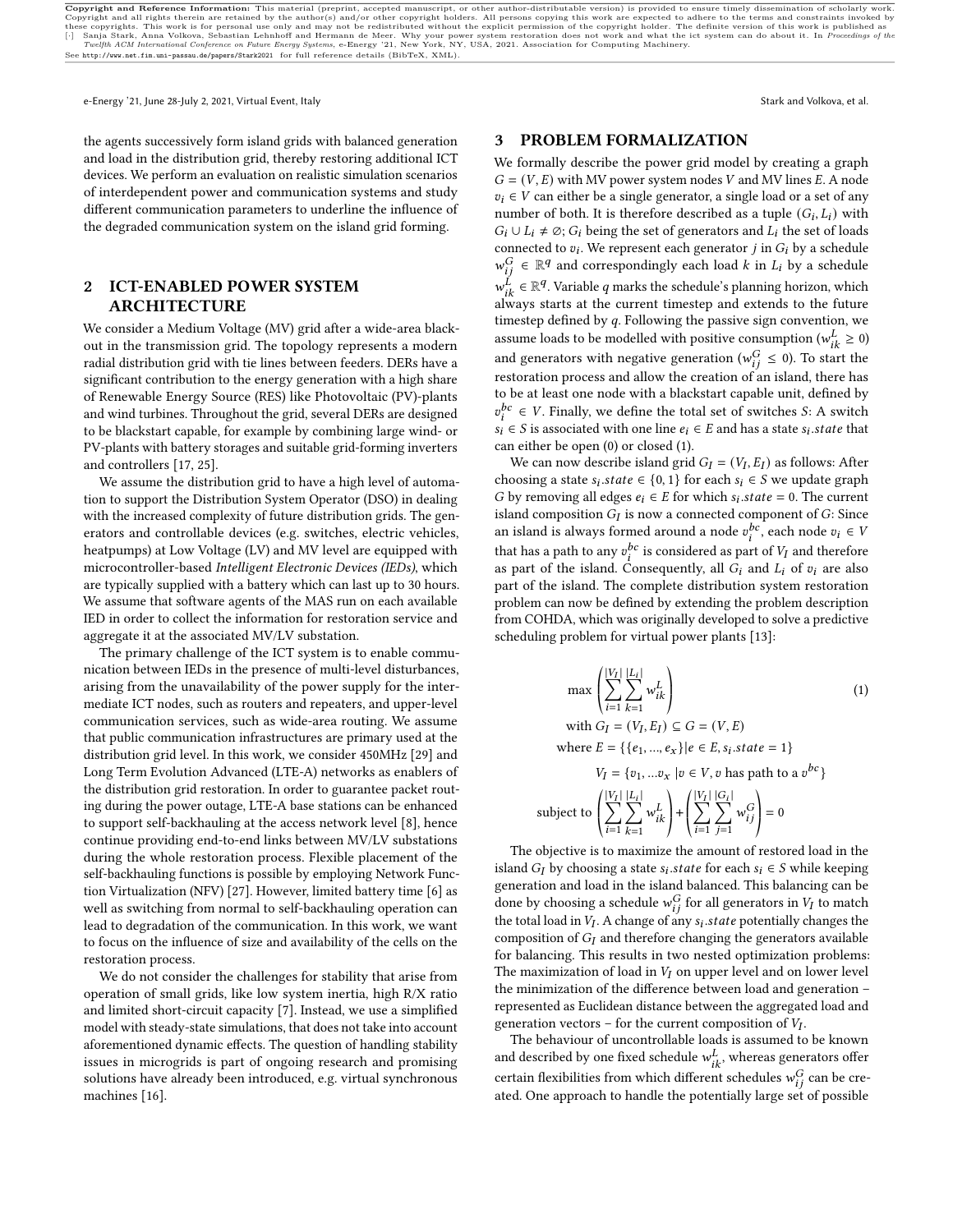e-Energy '21, June 28-July 2, 2021, Virtual Event, Italy Stark and Volkova, et al. Stark and Volkova, et al.

the agents successively form island grids with balanced generation and load in the distribution grid, thereby restoring additional ICT devices. We perform an evaluation on realistic simulation scenarios of interdependent power and communication systems and study different communication parameters to underline the influence of

the degraded communication system on the island grid forming.

# 2 ICT-ENABLED POWER SYSTEM ARCHITECTURE

We consider a Medium Voltage (MV) grid after a wide-area blackout in the transmission grid. The topology represents a modern radial distribution grid with tie lines between feeders. DERs have a significant contribution to the energy generation with a high share of Renewable Energy Source (RES) like Photovoltaic (PV)-plants and wind turbines. Throughout the grid, several DERs are designed to be blackstart capable, for example by combining large wind- or PV-plants with battery storages and suitable grid-forming inverters and controllers [\[17,](#page-4-13) [25\]](#page-4-14).

We assume the distribution grid to have a high level of automation to support the Distribution System Operator (DSO) in dealing with the increased complexity of future distribution grids. The generators and controllable devices (e.g. switches, electric vehicles, heatpumps) at Low Voltage (LV) and MV level are equipped with microcontroller-based Intelligent Electronic Devices (IEDs), which are typically supplied with a battery which can last up to 30 hours. We assume that software agents of the MAS run on each available IED in order to collect the information for restoration service and aggregate it at the associated MV/LV substation.

The primary challenge of the ICT system is to enable communication between IEDs in the presence of multi-level disturbances, arising from the unavailability of the power supply for the intermediate ICT nodes, such as routers and repeaters, and upper-level communication services, such as wide-area routing. We assume that public communication infrastructures are primary used at the distribution grid level. In this work, we consider 450MHz [\[29\]](#page-4-15) and Long Term Evolution Advanced (LTE-A) networks as enablers of the distribution grid restoration. In order to guarantee packet routing during the power outage, LTE-A base stations can be enhanced to support self-backhauling at the access network level [\[8\]](#page-4-16), hence continue providing end-to-end links between MV/LV substations during the whole restoration process. Flexible placement of the self-backhauling functions is possible by employing Network Function Virtualization (NFV) [\[27\]](#page-4-17). However, limited battery time [\[6\]](#page-4-18) as well as switching from normal to self-backhauling operation can lead to degradation of the communication. In this work, we want to focus on the influence of size and availability of the cells on the restoration process.

We do not consider the challenges for stability that arise from operation of small grids, like low system inertia, high R/X ratio and limited short-circuit capacity [\[7\]](#page-4-19). Instead, we use a simplified model with steady-state simulations, that does not take into account aforementioned dynamic effects. The question of handling stability issues in microgrids is part of ongoing research and promising solutions have already been introduced, e.g. virtual synchronous machines [\[16\]](#page-4-20).

### 3 PROBLEM FORMALIZATION

We formally describe the power grid model by creating a graph  $G = (V, E)$  with MV power system nodes V and MV lines E. A node  $v_i \in V$  can either be a single generator, a single load or a set of any number of both. It is therefore described as a tuple  $(G_i, L_i)$  with  $G_i \cup L_i \neq \emptyset$ ;  $G_i$  being the set of generators and  $L_i$  the set of loads connected to  $v_i$ . We represent each generator  $j$  in  $G_i$  by a schedule  $w_{ij}^G \in \mathbb{R}^q$  and correspondingly each load k in  $L_i$  by a schedule  $w_{ik}^{\vec{L}} \in \mathbb{R}^{q}$ . Variable  $q$  marks the schedule's planning horizon, which always starts at the current timestep and extends to the future timestep defined by  $q$ . Following the passive sign convention, we assume loads to be modelled with positive consumption ( $w_{ik}^L \ge 0$ ) and generators with negative generation ( $w_{ij}^G \leq 0$ ). To start the restoration process and allow the creation of an island, there has to be at least one node with a blackstart capable unit, defined by  $v_i^{bc} \in V$ . Finally, we define the total set of switches S: A switch  $s_i \in S$  is associated with one line  $e_i \in E$  and has a state  $s_i$  state that can either be open (0) or closed (1).

We can now describe island grid  $G_I = (V_I, E_I)$  as follows: After choosing a state  $s_i$  state  $\in \{0, 1\}$  for each  $s_i \in S$  we update graph *G* by removing all edges  $e_i \in E$  for which  $s_i$  state = 0. The current island composition  $G_I$  is now a connected component of  $G$ : Since an island is always formed around a node  $v_i^{bc}$ , each node  $v_i \in V$ that has a path to any  $v_i^{bc}$  is considered as part of  $V_I$  and therefore as part of the island. Consequently, all  $G_i$  and  $L_i$  of  $v_i$  are also part of the island. The complete distribution system restoration problem can now be defined by extending the problem description from COHDA, which was originally developed to solve a predictive scheduling problem for virtual power plants [\[13\]](#page-4-21):

<span id="page-1-0"></span>
$$
\max \left( \sum_{i=1}^{|V_I|} \sum_{k=1}^{|L_i|} w_{ik}^L \right) \tag{1}
$$
\n
$$
\text{with } G_I = (V_I, E_I) \subseteq G = (V, E)
$$
\n
$$
\text{where } E = \{ \{e_1, ..., e_x \} | e \in E, s_i. state = 1 \}
$$
\n
$$
V_I = \{ v_1, ... v_x | v \in V, v \text{ has path to a } v^{bc} \}
$$
\n
$$
\text{ject to } \left( \sum_{i=1}^{|V_I|} \sum_{k=1}^{|L_i|} w_{ik}^L \right) + \left( \sum_{i=1}^{|V_I|} \sum_{j=1}^{|G_i|} w_{ij}^G \right) = 0
$$

The objective is to maximize the amount of restored load in the island  $G_I$  by choosing a state  $s_i$  state for each  $s_i \in S$  while keeping generation and load in the island balanced. This balancing can be done by choosing a schedule  $w_{ij}^G$  for all generators in  $V_I$  to match the total load in  $V_I$ . A change of any  $s_i$  state potentially changes the composition of  $G_I$  and therefore changing the generators available for balancing. This results in two nested optimization problems: The maximization of load in  $V_I$  on upper level and on lower level the minimization of the difference between load and generation – represented as Euclidean distance between the aggregated load and generation vectors – for the current composition of  $V_I$ .

sub

The behaviour of uncontrollable loads is assumed to be known and described by one fixed schedule  $w_{ik}^L$ , whereas generators offer certain flexibilities from which different schedules  $w_{ij}^G$  can be created. One approach to handle the potentially large set of possible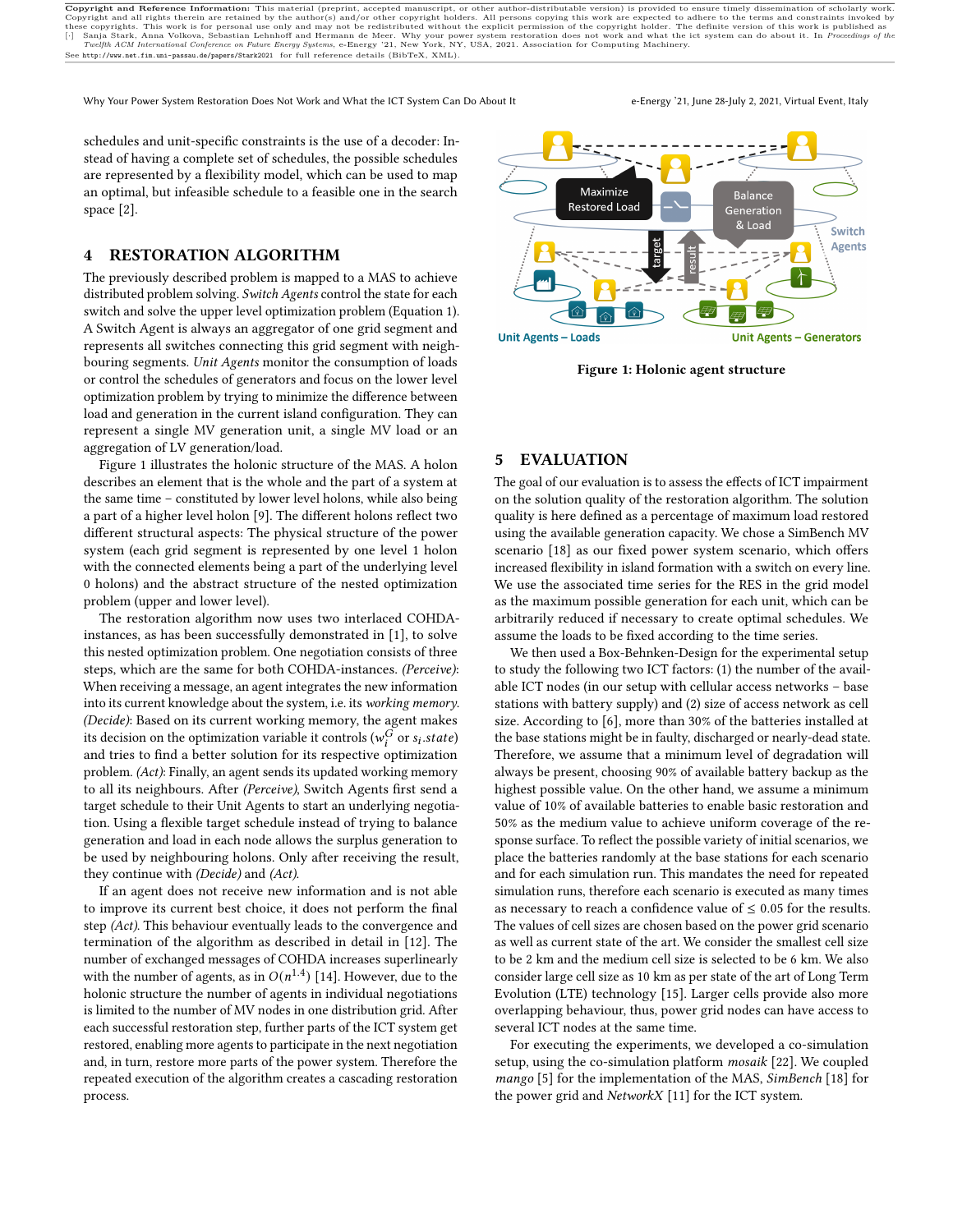Why Your Power System Restoration Does Not Work and What the ICT System Can Do About It e-Energy '21, June 28-July 2, 2021, Virtual Event, Italy

schedules and unit-specific constraints is the use of a decoder: Instead of having a complete set of schedules, the possible schedules are represented by a flexibility model, which can be used to map an optimal, but infeasible schedule to a feasible one in the search space [\[2\]](#page-4-22).

# 4 RESTORATION ALGORITHM

The previously described problem is mapped to a MAS to achieve distributed problem solving. Switch Agents control the state for each switch and solve the upper level optimization problem (Equation [1\)](#page-1-0). A Switch Agent is always an aggregator of one grid segment and represents all switches connecting this grid segment with neighbouring segments. Unit Agents monitor the consumption of loads or control the schedules of generators and focus on the lower level optimization problem by trying to minimize the difference between load and generation in the current island configuration. They can represent a single MV generation unit, a single MV load or an aggregation of LV generation/load.

Figure [1](#page-2-0) illustrates the holonic structure of the MAS. A holon describes an element that is the whole and the part of a system at the same time – constituted by lower level holons, while also being a part of a higher level holon [\[9\]](#page-4-23). The different holons reflect two different structural aspects: The physical structure of the power system (each grid segment is represented by one level 1 holon with the connected elements being a part of the underlying level 0 holons) and the abstract structure of the nested optimization problem (upper and lower level).

The restoration algorithm now uses two interlaced COHDAinstances, as has been successfully demonstrated in [\[1\]](#page-4-24), to solve this nested optimization problem. One negotiation consists of three steps, which are the same for both COHDA-instances. (Perceive): When receiving a message, an agent integrates the new information into its current knowledge about the system, i.e. its working memory. (Decide): Based on its current working memory, the agent makes its decision on the optimization variable it controls ( $w_i^G$  or  $s_i$  state) and tries to find a better solution for its respective optimization problem. (Act): Finally, an agent sends its updated working memory to all its neighbours. After (Perceive), Switch Agents first send a target schedule to their Unit Agents to start an underlying negotiation. Using a flexible target schedule instead of trying to balance generation and load in each node allows the surplus generation to be used by neighbouring holons. Only after receiving the result, they continue with (Decide) and (Act).

If an agent does not receive new information and is not able to improve its current best choice, it does not perform the final step (Act). This behaviour eventually leads to the convergence and termination of the algorithm as described in detail in [\[12\]](#page-4-12). The number of exchanged messages of COHDA increases superlinearly with the number of agents, as in  $O(n^{1.4})$  [\[14\]](#page-4-25). However, due to the holonic structure the number of agents in individual negotiations is limited to the number of MV nodes in one distribution grid. After each successful restoration step, further parts of the ICT system get restored, enabling more agents to participate in the next negotiation and, in turn, restore more parts of the power system. Therefore the repeated execution of the algorithm creates a cascading restoration process.

<span id="page-2-0"></span>

Figure 1: Holonic agent structure

# 5 EVALUATION

The goal of our evaluation is to assess the effects of ICT impairment on the solution quality of the restoration algorithm. The solution quality is here defined as a percentage of maximum load restored using the available generation capacity. We chose a SimBench MV scenario [\[18\]](#page-4-26) as our fixed power system scenario, which offers increased flexibility in island formation with a switch on every line. We use the associated time series for the RES in the grid model as the maximum possible generation for each unit, which can be arbitrarily reduced if necessary to create optimal schedules. We assume the loads to be fixed according to the time series.

We then used a Box-Behnken-Design for the experimental setup to study the following two ICT factors: (1) the number of the available ICT nodes (in our setup with cellular access networks – base stations with battery supply) and (2) size of access network as cell size. According to [\[6\]](#page-4-18), more than 30% of the batteries installed at the base stations might be in faulty, discharged or nearly-dead state. Therefore, we assume that a minimum level of degradation will always be present, choosing 90% of available battery backup as the highest possible value. On the other hand, we assume a minimum value of 10% of available batteries to enable basic restoration and 50% as the medium value to achieve uniform coverage of the response surface. To reflect the possible variety of initial scenarios, we place the batteries randomly at the base stations for each scenario and for each simulation run. This mandates the need for repeated simulation runs, therefore each scenario is executed as many times as necessary to reach a confidence value of  $\leq 0.05$  for the results. The values of cell sizes are chosen based on the power grid scenario as well as current state of the art. We consider the smallest cell size to be 2 km and the medium cell size is selected to be 6 km. We also consider large cell size as 10 km as per state of the art of Long Term Evolution (LTE) technology [\[15\]](#page-4-27). Larger cells provide also more overlapping behaviour, thus, power grid nodes can have access to several ICT nodes at the same time.

For executing the experiments, we developed a co-simulation setup, using the co-simulation platform mosaik [\[22\]](#page-4-28). We coupled mango [\[5\]](#page-4-29) for the implementation of the MAS, SimBench [\[18\]](#page-4-26) for the power grid and NetworkX [\[11\]](#page-4-30) for the ICT system.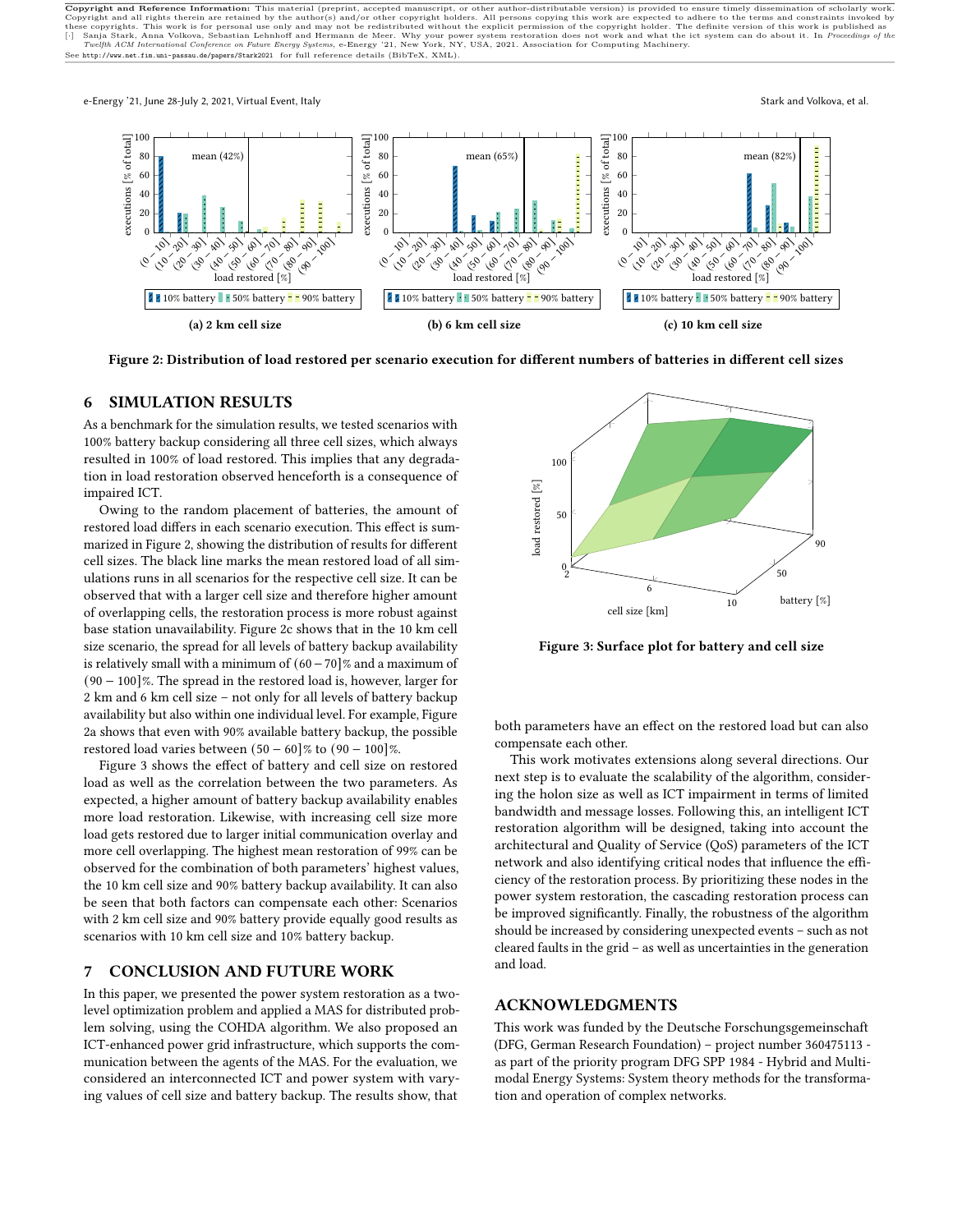<span id="page-3-0"></span>

Figure 2: Distribution of load restored per scenario execution for different numbers of batteries in different cell sizes

### 6 SIMULATION RESULTS

As a benchmark for the simulation results, we tested scenarios with 100% battery backup considering all three cell sizes, which always resulted in 100% of load restored. This implies that any degradation in load restoration observed henceforth is a consequence of impaired ICT.

Owing to the random placement of batteries, the amount of restored load differs in each scenario execution. This effect is summarized in Figure [2,](#page-3-0) showing the distribution of results for different cell sizes. The black line marks the mean restored load of all simulations runs in all scenarios for the respective cell size. It can be observed that with a larger cell size and therefore higher amount of overlapping cells, the restoration process is more robust against base station unavailability. Figure [2c](#page-3-0) shows that in the 10 km cell size scenario, the spread for all levels of battery backup availability is relatively small with a minimum of (60−70]% and a maximum of (90 − 100]%. The spread in the restored load is, however, larger for 2 km and 6 km cell size – not only for all levels of battery backup availability but also within one individual level. For example, Figure [2a](#page-3-0) shows that even with 90% available battery backup, the possible restored load varies between  $(50 - 60)$ % to  $(90 - 100)$ %.

Figure [3](#page-3-1) shows the effect of battery and cell size on restored load as well as the correlation between the two parameters. As expected, a higher amount of battery backup availability enables more load restoration. Likewise, with increasing cell size more load gets restored due to larger initial communication overlay and more cell overlapping. The highest mean restoration of 99% can be observed for the combination of both parameters' highest values, the 10 km cell size and 90% battery backup availability. It can also be seen that both factors can compensate each other: Scenarios with 2 km cell size and 90% battery provide equally good results as scenarios with 10 km cell size and 10% battery backup.

### 7 CONCLUSION AND FUTURE WORK

In this paper, we presented the power system restoration as a twolevel optimization problem and applied a MAS for distributed problem solving, using the COHDA algorithm. We also proposed an ICT-enhanced power grid infrastructure, which supports the communication between the agents of the MAS. For the evaluation, we considered an interconnected ICT and power system with varying values of cell size and battery backup. The results show, that

<span id="page-3-1"></span>

Figure 3: Surface plot for battery and cell size

both parameters have an effect on the restored load but can also compensate each other.

This work motivates extensions along several directions. Our next step is to evaluate the scalability of the algorithm, considering the holon size as well as ICT impairment in terms of limited bandwidth and message losses. Following this, an intelligent ICT restoration algorithm will be designed, taking into account the architectural and Quality of Service (QoS) parameters of the ICT network and also identifying critical nodes that influence the efficiency of the restoration process. By prioritizing these nodes in the power system restoration, the cascading restoration process can be improved significantly. Finally, the robustness of the algorithm should be increased by considering unexpected events – such as not cleared faults in the grid – as well as uncertainties in the generation and load.

#### ACKNOWLEDGMENTS

This work was funded by the Deutsche Forschungsgemeinschaft (DFG, German Research Foundation) – project number 360475113 as part of the priority program DFG SPP 1984 - Hybrid and Multimodal Energy Systems: System theory methods for the transformation and operation of complex networks.